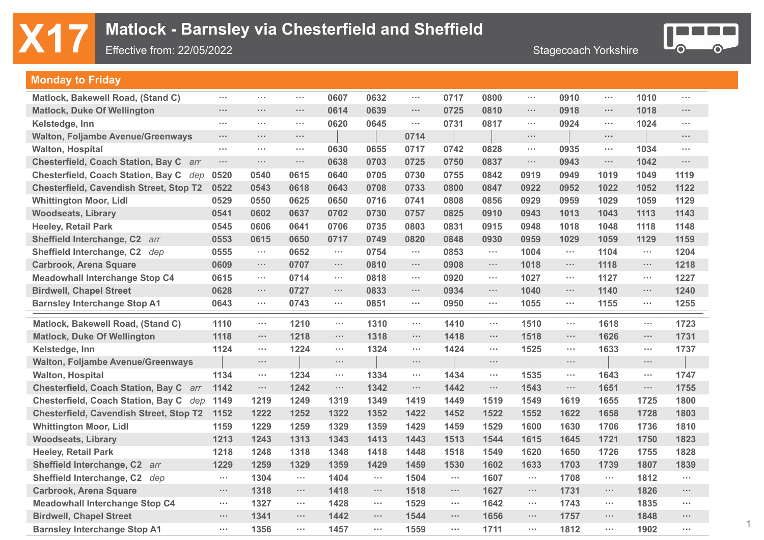## **X17** Matlock - Barnsley via Chesterfield and Sheffield<br>Effective from: 22/05/2022

Effective from: 22/05/2022



1

### **Monday to Friday**

| Matlock, Bakewell Road, (Stand C)              | $\sim 100$           | $\sim 100$           | $\sim 100$           | 0607                 | 0632       | $\sim$ $\sim$ $\sim$ | 0717       | 0800                 | $\sim$ $\sim$ $\sim$ | 0910                 | $\sim$ $\sim$ $\sim$ | 1010       | $\sim$ $\sim$        |
|------------------------------------------------|----------------------|----------------------|----------------------|----------------------|------------|----------------------|------------|----------------------|----------------------|----------------------|----------------------|------------|----------------------|
| <b>Matlock, Duke Of Wellington</b>             | $\sim 100$           | $\sim 100$           | $\sim 100$           | 0614                 | 0639       | $\cdots$             | 0725       | 0810                 | $\sim 100$           | 0918                 | $\sim 100$           | 1018       | $\sim$ $\sim$        |
| Kelstedge, Inn                                 | $\sim$ $\sim$        | $\sim 100$           | $\sim 100$           | 0620                 | 0645       | $\cdots$             | 0731       | 0817                 | $\sim$ $\sim$ $\sim$ | 0924                 | $\sim$ $\sim$ $\sim$ | 1024       | $\sim$ $\sim$ $\sim$ |
| <b>Walton, Foljambe Avenue/Greenways</b>       | $\sim$               | $\sim 100$           | $\sim 100$           |                      |            | 0714                 |            |                      | $\sim$ $\sim$        |                      | $\sim$               |            | $\cdots$             |
| <b>Walton, Hospital</b>                        | $\sim$ $\sim$ $\sim$ | $\sim$ $\sim$ $\sim$ | $\sim 100$           | 0630                 | 0655       | 0717                 | 0742       | 0828                 | $\sim$ $\sim$ $\sim$ | 0935                 | $\sim$ $\sim$ $\sim$ | 1034       | $\sim$               |
| Chesterfield, Coach Station, Bay C arr         | $\sim$               | $\sim$ $\sim$ $\sim$ | $\sim 100$           | 0638                 | 0703       | 0725                 | 0750       | 0837                 | $\sim$               | 0943                 | $\cdots$             | 1042       | $\cdots$             |
| Chesterfield, Coach Station, Bay C dep         | 0520                 | 0540                 | 0615                 | 0640                 | 0705       | 0730                 | 0755       | 0842                 | 0919                 | 0949                 | 1019                 | 1049       | 1119                 |
| <b>Chesterfield, Cavendish Street, Stop T2</b> | 0522                 | 0543                 | 0618                 | 0643                 | 0708       | 0733                 | 0800       | 0847                 | 0922                 | 0952                 | 1022                 | 1052       | 1122                 |
| <b>Whittington Moor, Lidl</b>                  | 0529                 | 0550                 | 0625                 | 0650                 | 0716       | 0741                 | 0808       | 0856                 | 0929                 | 0959                 | 1029                 | 1059       | 1129                 |
| <b>Woodseats, Library</b>                      | 0541                 | 0602                 | 0637                 | 0702                 | 0730       | 0757                 | 0825       | 0910                 | 0943                 | 1013                 | 1043                 | 1113       | 1143                 |
| <b>Heeley, Retail Park</b>                     | 0545                 | 0606                 | 0641                 | 0706                 | 0735       | 0803                 | 0831       | 0915                 | 0948                 | 1018                 | 1048                 | 1118       | 1148                 |
| Sheffield Interchange, C2 arr                  | 0553                 | 0615                 | 0650                 | 0717                 | 0749       | 0820                 | 0848       | 0930                 | 0959                 | 1029                 | 1059                 | 1129       | 1159                 |
| Sheffield Interchange, C2 dep                  | 0555                 | $\sim$               | 0652                 | $\sim$               | 0754       | $\sim$ $\sim$ $\sim$ | 0853       | $\sim 100$           | 1004                 | $\sim 100$           | 1104                 | $\sim$     | 1204                 |
| <b>Carbrook, Arena Square</b>                  | 0609                 | $\sim$ $\sim$ $\sim$ | 0707                 | $\sim$ $\sim$ $\sim$ | 0810       | $\sim$ $\sim$ $\sim$ | 0908       | $\sim$ $\sim$ $\sim$ | 1018                 | $\sim 100$           | 1118                 | $\sim 100$ | 1218                 |
| <b>Meadowhall Interchange Stop C4</b>          | 0615                 | $\sim$ $\sim$ $\sim$ | 0714                 | $\sim$ $\sim$ $\sim$ | 0818       | $\sim$ $\sim$ $\sim$ | 0920       | $\sim$ $\sim$ $\sim$ | 1027                 | $\sim$ $\sim$ $\sim$ | 1127                 | $\sim 100$ | 1227                 |
| <b>Birdwell, Chapel Street</b>                 | 0628                 | $\sim$               | 0727                 | $\cdots$             | 0833       | $\cdots$             | 0934       | $\sim$ $\sim$ $\sim$ | 1040                 | $\sim$ $\sim$ $\sim$ | 1140                 | $\sim$     | 1240                 |
| <b>Barnsley Interchange Stop A1</b>            | 0643                 | $\sim$ $\sim$ $\sim$ | 0743                 | $\sim$               | 0851       | $\sim$ $\sim$ $\sim$ | 0950       | $\sim$ $\sim$ $\sim$ | 1055                 | $\sim 100$           | 1155                 | $\sim 100$ | 1255                 |
| Matlock, Bakewell Road, (Stand C)              | 1110                 | $\sim$ $\sim$ $\sim$ | 1210                 | $\sim$ $\sim$ $\sim$ | 1310       | $\sim$ $\sim$ $\sim$ | 1410       | $\sim$               | 1510                 | $\sim$ $\sim$ $\sim$ | 1618                 | $\sim 100$ | 1723                 |
| <b>Matlock, Duke Of Wellington</b>             | 1118                 | $\sim 100$           | 1218                 | $\sim 100$           | 1318       | $\cdots$             | 1418       | $\cdots$             | 1518                 | $\sim 100$           | 1626                 | $\sim 100$ | 1731                 |
| Kelstedge, Inn                                 | 1124                 | $\sim 100$           | 1224                 | $\sim$ $\sim$ $\sim$ | 1324       | $\sim$ $\sim$ $\sim$ | 1424       | $\sim$               | 1525                 | $\sim$               | 1633                 | $\sim 100$ | 1737                 |
| <b>Walton, Foljambe Avenue/Greenways</b>       |                      | $\sim$               |                      | $\sim 100$           |            | $\sim$ $\sim$ $\sim$ |            | $\cdots$             |                      | $\sim 100$           |                      | $\sim 100$ |                      |
| <b>Walton, Hospital</b>                        | 1134                 | $\sim$               | 1234                 | $\sim$ $\sim$ $\sim$ | 1334       | $\sim$               | 1434       | $\sim$               | 1535                 | $\sim$               | 1643                 | $\sim 100$ | 1747                 |
| Chesterfield, Coach Station, Bay C arr         | 1142                 | $\sim 100$           | 1242                 | $\sim$ $\sim$        | 1342       | $\sim$               | 1442       | $\cdots$             | 1543                 | $\sim$ $\sim$        | 1651                 | $\sim 100$ | 1755                 |
| Chesterfield, Coach Station, Bay C dep         | 1149                 | 1219                 | 1249                 | 1319                 | 1349       | 1419                 | 1449       | 1519                 | 1549                 | 1619                 | 1655                 | 1725       | 1800                 |
| <b>Chesterfield, Cavendish Street, Stop T2</b> | 1152                 | 1222                 | 1252                 | 1322                 | 1352       | 1422                 | 1452       | 1522                 | 1552                 | 1622                 | 1658                 | 1728       | 1803                 |
| <b>Whittington Moor, Lidl</b>                  | 1159                 | 1229                 | 1259                 | 1329                 | 1359       | 1429                 | 1459       | 1529                 | 1600                 | 1630                 | 1706                 | 1736       | 1810                 |
| <b>Woodseats, Library</b>                      | 1213                 | 1243                 | 1313                 | 1343                 | 1413       | 1443                 | 1513       | 1544                 | 1615                 | 1645                 | 1721                 | 1750       | 1823                 |
| <b>Heeley, Retail Park</b>                     | 1218                 | 1248                 | 1318                 | 1348                 | 1418       | 1448                 | 1518       | 1549                 | 1620                 | 1650                 | 1726                 | 1755       | 1828                 |
| Sheffield Interchange, C2 arr                  | 1229                 | 1259                 | 1329                 | 1359                 | 1429       | 1459                 | 1530       | 1602                 | 1633                 | 1703                 | 1739                 | 1807       | 1839                 |
| Sheffield Interchange, C2 dep                  | $\sim$ $\sim$ $\sim$ | 1304                 | $\sim$ $\sim$ $\sim$ | 1404                 | $\sim 100$ | 1504                 | $\sim 100$ | 1607                 | $\sim$ $\sim$ $\sim$ | 1708                 | $\sim$ $\sim$ $\sim$ | 1812       | $\sim$ $\sim$ $\sim$ |
| <b>Carbrook, Arena Square</b>                  | $\cdots$             | 1318                 | $\sim 100$           | 1418                 | $\sim 100$ | 1518                 | $\sim$     | 1627                 | $\sim$               | 1731                 | $\sim 100$           | 1826       | $\sim 100$           |
|                                                |                      |                      |                      |                      |            |                      |            |                      |                      |                      |                      |            | $\sim 100$           |
| <b>Meadowhall Interchange Stop C4</b>          | $\sim$ $\sim$        | 1327                 | $\sim$ $\sim$ $\sim$ | 1428                 | $\sim 100$ | 1529                 | $\sim 100$ | 1642                 | $\sim$ $\sim$ $\sim$ | 1743                 | $\sim$ $\sim$ $\sim$ | 1835       |                      |
| <b>Birdwell, Chapel Street</b>                 | $\sim$ $\sim$ $\sim$ | 1341                 | $\sim 100$           | 1442                 | $\sim 100$ | 1544                 | $\sim 100$ | 1656                 | $\sim$ $\sim$ $\sim$ | 1757                 | $\sim$ $\sim$ $\sim$ | 1848       | $\sim$ $\sim$ $\sim$ |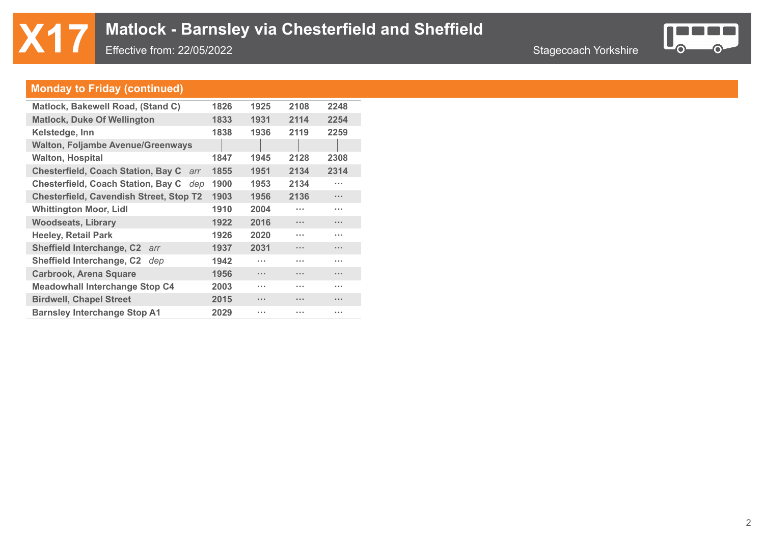

### **Monday to Friday (continued)**

| 1826 | 1925     | 2108                 | 2248                 |
|------|----------|----------------------|----------------------|
| 1833 | 1931     | 2114                 | 2254                 |
| 1838 | 1936     | 2119                 | 2259                 |
|      |          |                      |                      |
| 1847 | 1945     | 2128                 | 2308                 |
| 1855 | 1951     | 2134                 | 2314                 |
| 1900 | 1953     | 2134                 | .                    |
| 1903 | 1956     | 2136                 | $\cdots$             |
| 1910 | 2004     | <b>A 10 W</b>        | .                    |
| 1922 | 2016     | <b>A 10 A</b>        | $\cdots$             |
| 1926 | 2020     | <b>A 10 A</b>        | .                    |
| 1937 | 2031     | $\sim$               | $\cdots$             |
| 1942 | $\cdots$ | <b>A 10 A</b>        | .                    |
| 1956 | $\cdots$ | $\sim$ $\sim$ $\sim$ | $\cdots$             |
| 2003 | $\cdots$ | <b>A 10 W</b>        | .                    |
| 2015 | $\cdots$ | $\sim$ $\sim$        | $\cdots$             |
| 2029 | $\cdots$ | <b>ALC UNIT</b>      | $\sim$ $\sim$ $\sim$ |
|      |          |                      |                      |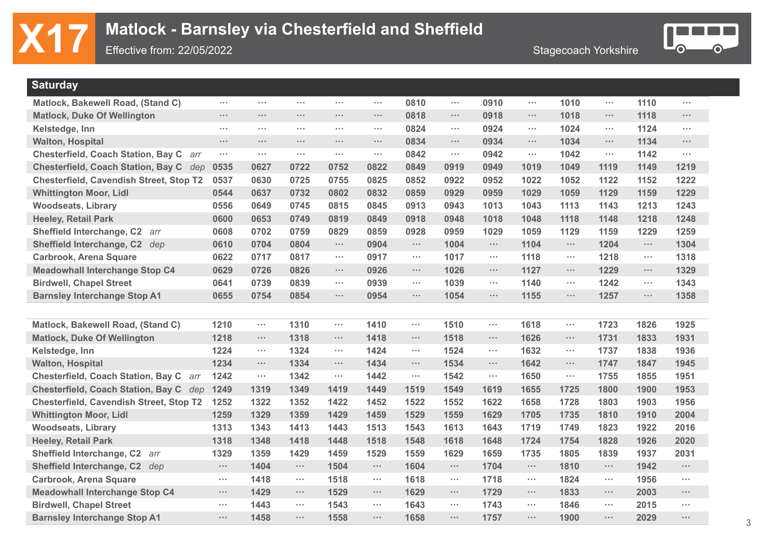

| <b>Saturday</b>                                  |                      |                      |            |                      |            |                      |                      |                      |                      |                      |                      |            |                      |
|--------------------------------------------------|----------------------|----------------------|------------|----------------------|------------|----------------------|----------------------|----------------------|----------------------|----------------------|----------------------|------------|----------------------|
| Matlock, Bakewell Road, (Stand C)                | $\sim$ $\sim$ $\sim$ | $\sim 100$           | $\sim 100$ | $\sim 100$           | $\sim 10$  | 0810                 | $\sim$ $\sim$        | 0910                 | $\sim$               | 1010                 | $\sim$               | 1110       | $\sim$               |
| <b>Matlock, Duke Of Wellington</b>               | $\cdots$             | $\sim 100$           | $\sim 100$ | $\sim 10^{-1}$       | $\sim 100$ | 0818                 | $\sim 100$           | 0918                 | $\sim$               | 1018                 | $\sim$               | 1118       | $\sim$               |
| Kelstedge, Inn                                   | $\sim$ $\sim$ $\sim$ | $\sim 100$           | $\sim 100$ | $\sim 100$           | $\sim 100$ | 0824                 | $\sim 100$           | 0924                 | $\sim 100$           | 1024                 | $\sim$ $\sim$ $\sim$ | 1124       | $\sim$ $\sim$ $\sim$ |
| <b>Walton, Hospital</b>                          | $\sim 100$           | $\sim 100$           | $\sim 100$ | $\sim 100$           | $\sim 100$ | 0834                 | $\sim 100$           | 0934                 | $\sim$               | 1034                 | $\sim$ $\sim$ $\sim$ | 1134       | $\sim$               |
| <b>Chesterfield, Coach Station, Bay C</b><br>arr | $\sim$ $\sim$ $\sim$ | $\sim$               | $\sim 100$ | a a s                | $\sim 100$ | 0842                 | $\sim$ $\sim$        | 0942                 | $\sim$               | 1042                 | $\sim$               | 1142       | $\sim$ $\sim$        |
| Chesterfield, Coach Station, Bay C dep           | 0535                 | 0627                 | 0722       | 0752                 | 0822       | 0849                 | 0919                 | 0949                 | 1019                 | 1049                 | 1119                 | 1149       | 1219                 |
| <b>Chesterfield, Cavendish Street, Stop T2</b>   | 0537                 | 0630                 | 0725       | 0755                 | 0825       | 0852                 | 0922                 | 0952                 | 1022                 | 1052                 | 1122                 | 1152       | 1222                 |
| <b>Whittington Moor, Lidl</b>                    | 0544                 | 0637                 | 0732       | 0802                 | 0832       | 0859                 | 0929                 | 0959                 | 1029                 | 1059                 | 1129                 | 1159       | 1229                 |
| <b>Woodseats, Library</b>                        | 0556                 | 0649                 | 0745       | 0815                 | 0845       | 0913                 | 0943                 | 1013                 | 1043                 | 1113                 | 1143                 | 1213       | 1243                 |
| <b>Heeley, Retail Park</b>                       | 0600                 | 0653                 | 0749       | 0819                 | 0849       | 0918                 | 0948                 | 1018                 | 1048                 | 1118                 | 1148                 | 1218       | 1248                 |
| Sheffield Interchange, C2 arr                    | 0608                 | 0702                 | 0759       | 0829                 | 0859       | 0928                 | 0959                 | 1029                 | 1059                 | 1129                 | 1159                 | 1229       | 1259                 |
| Sheffield Interchange, C2 dep                    | 0610                 | 0704                 | 0804       | $\sim 100$           | 0904       | $\sim$ $\sim$ $\sim$ | 1004                 | $\sim$ $\sim$ $\sim$ | 1104                 | $\sim$ $\sim$        | 1204                 | $\sim$     | 1304                 |
| <b>Carbrook, Arena Square</b>                    | 0622                 | 0717                 | 0817       | $\sim$ $\sim$ $\sim$ | 0917       | $\sim$ $\sim$ $\sim$ | 1017                 | $\sim$ $\sim$ $\sim$ | 1118                 | $\sim$ $\sim$ $\sim$ | 1218                 | $\sim$     | 1318                 |
| <b>Meadowhall Interchange Stop C4</b>            | 0629                 | 0726                 | 0826       | $\sim$               | 0926       | $\sim$               | 1026                 | $\sim$ $\sim$ $\sim$ | 1127                 | $\sim$ $\sim$ $\sim$ | 1229                 | $\sim$     | 1329                 |
| <b>Birdwell, Chapel Street</b>                   | 0641                 | 0739                 | 0839       | $\sim$ $\sim$ $\sim$ | 0939       | $\sim$ $\sim$ $\sim$ | 1039                 | $\sim$ $\sim$ $\sim$ | 1140                 | $\sim 100$           | 1242                 | $\sim$     | 1343                 |
| <b>Barnsley Interchange Stop A1</b>              | 0655                 | 0754                 | 0854       | $\sim$ $\sim$ $\sim$ | 0954       | $\sim$ $\sim$ $\sim$ | 1054                 | $\sim$ $\sim$ $\sim$ | 1155                 | $\sim$ $\sim$ $\sim$ | 1257                 | $\sim 100$ | 1358                 |
|                                                  |                      |                      |            |                      |            |                      |                      |                      |                      |                      |                      |            |                      |
| Matlock, Bakewell Road, (Stand C)                | 1210                 | $\sim$ $\sim$ $\sim$ | 1310       | $\sim$ $\sim$ $\sim$ | 1410       | $\sim$ $\sim$        | 1510                 | $\sim 100$           | 1618                 | $\sim 10$            | 1723                 | 1826       | 1925                 |
| <b>Matlock, Duke Of Wellington</b>               | 1218                 | $\sim$ $\sim$ $\sim$ | 1318       | $\sim$ $\sim$ $\sim$ | 1418       | $\cdots$             | 1518                 | $\sim$               | 1626                 | $\sim 100$           | 1731                 | 1833       | 1931                 |
| Kelstedge, Inn                                   | 1224                 | $\sim$               | 1324       | $\sim$ $\sim$ $\sim$ | 1424       | $\cdots$             | 1524                 | $\sim$               | 1632                 | $\sim$ $\sim$ $\sim$ | 1737                 | 1838       | 1936                 |
| <b>Walton, Hospital</b>                          | 1234                 | $\sim$               | 1334       | $\sim$ $\sim$ $\sim$ | 1434       | $\sim$ $\sim$        | 1534                 | $\sim$               | 1642                 | $\sim$               | 1747                 | 1847       | 1945                 |
| <b>Chesterfield, Coach Station, Bay C</b><br>arr | 1242                 | $\sim$               | 1342       | $\sim$               | 1442       | $\cdots$             | 1542                 | $\sim$               | 1650                 | $\sim$               | 1755                 | 1855       | 1951                 |
| Chesterfield, Coach Station, Bay C dep           | 1249                 | 1319                 | 1349       | 1419                 | 1449       | 1519                 | 1549                 | 1619                 | 1655                 | 1725                 | 1800                 | 1900       | 1953                 |
| <b>Chesterfield, Cavendish Street, Stop T2</b>   | 1252                 | 1322                 | 1352       | 1422                 | 1452       | 1522                 | 1552                 | 1622                 | 1658                 | 1728                 | 1803                 | 1903       | 1956                 |
| <b>Whittington Moor, Lidl</b>                    | 1259                 | 1329                 | 1359       | 1429                 | 1459       | 1529                 | 1559                 | 1629                 | 1705                 | 1735                 | 1810                 | 1910       | 2004                 |
| <b>Woodseats, Library</b>                        | 1313                 | 1343                 | 1413       | 1443                 | 1513       | 1543                 | 1613                 | 1643                 | 1719                 | 1749                 | 1823                 | 1922       | 2016                 |
| <b>Heeley, Retail Park</b>                       | 1318                 | 1348                 | 1418       | 1448                 | 1518       | 1548                 | 1618                 | 1648                 | 1724                 | 1754                 | 1828                 | 1926       | 2020                 |
| Sheffield Interchange, C2 arr                    | 1329                 | 1359                 | 1429       | 1459                 | 1529       | 1559                 | 1629                 | 1659                 | 1735                 | 1805                 | 1839                 | 1937       | 2031                 |
| Sheffield Interchange, C2 dep                    | $\sim 10^{-1}$       | 1404                 | $\sim 100$ | 1504                 | $\sim 100$ | 1604                 | $\sim 100$           | 1704                 | $\sim$ $\sim$        | 1810                 | $\sim$ $\sim$ $\sim$ | 1942       | $\cdots$             |
| <b>Carbrook, Arena Square</b>                    | $\sim$               | 1418                 | $\sim 100$ | 1518                 | $\sim$     | 1618                 | $\sim$ $\sim$ $\sim$ | 1718                 | $\sim$ $\sim$ $\sim$ | 1824                 | $\sim$               | 1956       | $\sim$               |
| <b>Meadowhall Interchange Stop C4</b>            | $\sim$ $\sim$ $\sim$ | 1429                 | $\sim 100$ | 1529                 | $\sim 100$ | 1629                 | $\sim 100$           | 1729                 | $\sim 100$           | 1833                 | $\sim$               | 2003       | $\cdots$             |
| <b>Birdwell, Chapel Street</b>                   | $\sim$ $\sim$ $\sim$ | 1443                 | $\sim 100$ | 1543                 | $\sim$     | 1643                 | $\sim$               | 1743                 | $\sim$ $\sim$ $\sim$ | 1846                 | $\sim$               | 2015       | $\sim$               |
| <b>Barnsley Interchange Stop A1</b>              | $\sim$ $\sim$ $\sim$ | 1458                 | $\sim 100$ | 1558                 | $\sim 100$ | 1658                 | $\sim 100$           | 1757                 | $\sim$ $\sim$ $\sim$ | 1900                 | $\sim 100$           | 2029       | $\cdots$             |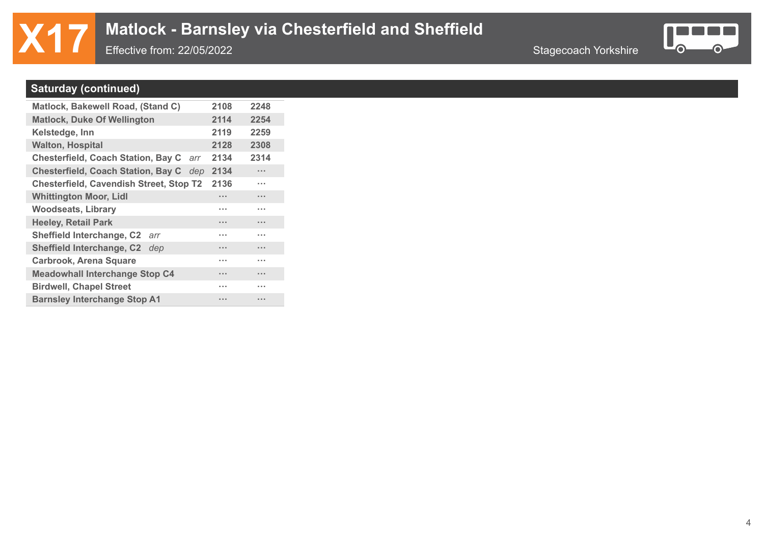## **X17** Matlock - Barnsley via Chesterfield and Sheffield<br>Effective from: 22/05/2022

Effective from: 22/05/2022



#### **Saturday (continued)**

| Matlock, Bakewell Road, (Stand C)              |     | 2108 | 2248     |
|------------------------------------------------|-----|------|----------|
| <b>Matlock, Duke Of Wellington</b>             |     | 2114 | 2254     |
| Kelstedge, Inn                                 |     | 2119 | 2259     |
| <b>Walton, Hospital</b>                        |     | 2128 | 2308     |
| <b>Chesterfield, Coach Station, Bay C</b>      | arr | 2134 | 2314     |
| <b>Chesterfield, Coach Station, Bay C</b>      | dep | 2134 | $\cdots$ |
| <b>Chesterfield, Cavendish Street, Stop T2</b> |     | 2136 | .        |
| <b>Whittington Moor, Lidl</b>                  |     | .    | $\cdots$ |
| <b>Woodseats, Library</b>                      |     | .    | .        |
| <b>Heeley, Retail Park</b>                     |     | .    | $\cdots$ |
| Sheffield Interchange, C2<br>arr               |     | .    | .        |
| <b>Sheffield Interchange, C2</b><br>dep        |     | .    |          |
| <b>Carbrook, Arena Square</b>                  |     | .    | .        |
| <b>Meadowhall Interchange Stop C4</b>          |     | .    | .        |
| <b>Birdwell, Chapel Street</b>                 |     | .    | .        |
| <b>Barnsley Interchange Stop A1</b>            |     | .    |          |
|                                                |     |      |          |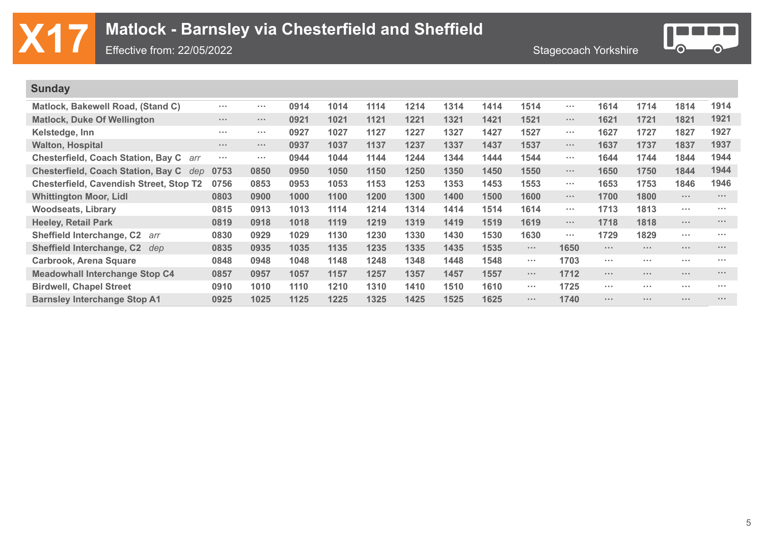|  | $\mathbf{X}$ 17 Matlock - Barnsley via Chesterfield and Sheffield Metaphore from: 22/05/2022 |                             |
|--|----------------------------------------------------------------------------------------------|-----------------------------|
|  | Effective from: $22/05/2022$                                                                 | <b>Stagecoach Yorkshire</b> |



| <b>Sunday</b>                                    |                                                                                                                                                                                                                                                                                                                                                                                                                        |              |      |      |      |      |      |      |            |                |                 |                                                                 |            |               |
|--------------------------------------------------|------------------------------------------------------------------------------------------------------------------------------------------------------------------------------------------------------------------------------------------------------------------------------------------------------------------------------------------------------------------------------------------------------------------------|--------------|------|------|------|------|------|------|------------|----------------|-----------------|-----------------------------------------------------------------|------------|---------------|
| Matlock, Bakewell Road, (Stand C)                | $\sim 100$                                                                                                                                                                                                                                                                                                                                                                                                             | $\sim 100$   | 0914 | 1014 | 1114 | 1214 | 1314 | 1414 | 1514       | <b>ALCOHOL</b> | 1614            | 1714                                                            | 1814       | 1914          |
| <b>Matlock, Duke Of Wellington</b>               | $\sim 100$                                                                                                                                                                                                                                                                                                                                                                                                             | $\sim 100$   | 0921 | 1021 | 1121 | 1221 | 1321 | 1421 | 1521       | $\sim 100$     | 1621            | 1721                                                            | 1821       | 1921          |
| Kelstedge, Inn                                   | <b>ALC N</b>                                                                                                                                                                                                                                                                                                                                                                                                           | <b>ALC A</b> | 0927 | 1027 | 1127 | 1227 | 1327 | 1427 | 1527       | <b>ALCOHOL</b> | 1627            | 1727                                                            | 1827       | 1927          |
| <b>Walton, Hospital</b>                          | $\mathbf{z}=\mathbf{z}+\mathbf{z}+\mathbf{z}+\mathbf{z}+\mathbf{z}+\mathbf{z}+\mathbf{z}+\mathbf{z}+\mathbf{z}+\mathbf{z}+\mathbf{z}+\mathbf{z}+\mathbf{z}+\mathbf{z}+\mathbf{z}+\mathbf{z}+\mathbf{z}+\mathbf{z}+\mathbf{z}+\mathbf{z}+\mathbf{z}+\mathbf{z}+\mathbf{z}+\mathbf{z}+\mathbf{z}+\mathbf{z}+\mathbf{z}+\mathbf{z}+\mathbf{z}+\mathbf{z}+\mathbf{z}+\mathbf{z}+\mathbf{z}+\mathbf{z}+\mathbf{z}+\mathbf{$ | $\sim 100$   | 0937 | 1037 | 1137 | 1237 | 1337 | 1437 | 1537       | $\sim 1000$    | 1637            | 1737                                                            | 1837       | 1937          |
| Chesterfield, Coach Station, Bay C arr           | $\sim 100$                                                                                                                                                                                                                                                                                                                                                                                                             | $\sim 100$   | 0944 | 1044 | 1144 | 1244 | 1344 | 1444 | 1544       | <b>ALCOHOL</b> | 1644            | 1744                                                            | 1844       | 1944          |
| <b>Chesterfield, Coach Station, Bay C</b><br>dep | 0753                                                                                                                                                                                                                                                                                                                                                                                                                   | 0850         | 0950 | 1050 | 1150 | 1250 | 1350 | 1450 | 1550       | $\sim 100$     | 1650            | 1750                                                            | 1844       | 1944          |
| <b>Chesterfield, Cavendish Street, Stop T2</b>   | 0756                                                                                                                                                                                                                                                                                                                                                                                                                   | 0853         | 0953 | 1053 | 1153 | 1253 | 1353 | 1453 | 1553       | <b>ALCOHOL</b> | 1653            | 1753                                                            | 1846       | 1946          |
| <b>Whittington Moor, Lidl</b>                    | 0803                                                                                                                                                                                                                                                                                                                                                                                                                   | 0900         | 1000 | 1100 | 1200 | 1300 | 1400 | 1500 | 1600       | $\sim 100$     | 1700            | 1800                                                            | $\sim 100$ | $\sim 100$    |
| <b>Woodseats, Library</b>                        | 0815                                                                                                                                                                                                                                                                                                                                                                                                                   | 0913         | 1013 | 1114 | 1214 | 1314 | 1414 | 1514 | 1614       | <b>ALCOHOL</b> | 1713            | 1813                                                            | $\cdots$   | <b>A 10 A</b> |
| <b>Heeley, Retail Park</b>                       | 0819                                                                                                                                                                                                                                                                                                                                                                                                                   | 0918         | 1018 | 1119 | 1219 | 1319 | 1419 | 1519 | 1619       | $\sim 100$     | 1718            | 1818                                                            | $\cdots$   | $\sim 100$    |
| <b>Sheffield Interchange, C2</b><br>arr          | 0830                                                                                                                                                                                                                                                                                                                                                                                                                   | 0929         | 1029 | 1130 | 1230 | 1330 | 1430 | 1530 | 1630       | <b>ALCOHOL</b> | 1729            | 1829                                                            | $\cdots$   | <b>A 10 A</b> |
| <b>Sheffield Interchange, C2</b><br>dep          | 0835                                                                                                                                                                                                                                                                                                                                                                                                                   | 0935         | 1035 | 1135 | 1235 | 1335 | 1435 | 1535 | $\sim 100$ | 1650           | $\sim$ 10 $\pm$ | $\sim$ $\sim$ $\sim$                                            | $\cdots$   | $\sim 100$    |
| <b>Carbrook, Arena Square</b>                    | 0848                                                                                                                                                                                                                                                                                                                                                                                                                   | 0948         | 1048 | 1148 | 1248 | 1348 | 1448 | 1548 | $\sim 100$ | 1703           | $\sim 100$      | $\sim 100$                                                      | $\cdots$   | $\sim 100$    |
| <b>Meadowhall Interchange Stop C4</b>            | 0857                                                                                                                                                                                                                                                                                                                                                                                                                   | 0957         | 1057 | 1157 | 1257 | 1357 | 1457 | 1557 | $\sim 100$ | 1712           | $\sim$ 10 $\pm$ | $\mathbf{a} \cdot \mathbf{a} \cdot \mathbf{a} \cdot \mathbf{a}$ | $\cdots$   | $\sim 100$    |
| <b>Birdwell, Chapel Street</b>                   | 0910                                                                                                                                                                                                                                                                                                                                                                                                                   | 1010         | 1110 | 1210 | 1310 | 1410 | 1510 | 1610 | $\sim 100$ | 1725           | $\sim 100$      | $\sim$ $\sim$ $\sim$                                            | $\cdots$   | $\sim 100$    |
| <b>Barnsley Interchange Stop A1</b>              | 0925                                                                                                                                                                                                                                                                                                                                                                                                                   | 1025         | 1125 | 1225 | 1325 | 1425 | 1525 | 1625 | $\sim 100$ | 1740           | $\sim$ 10 $\pm$ | $\sim 100$ m $^{-1}$                                            |            | $\sim 100$    |
|                                                  |                                                                                                                                                                                                                                                                                                                                                                                                                        |              |      |      |      |      |      |      |            |                |                 |                                                                 |            |               |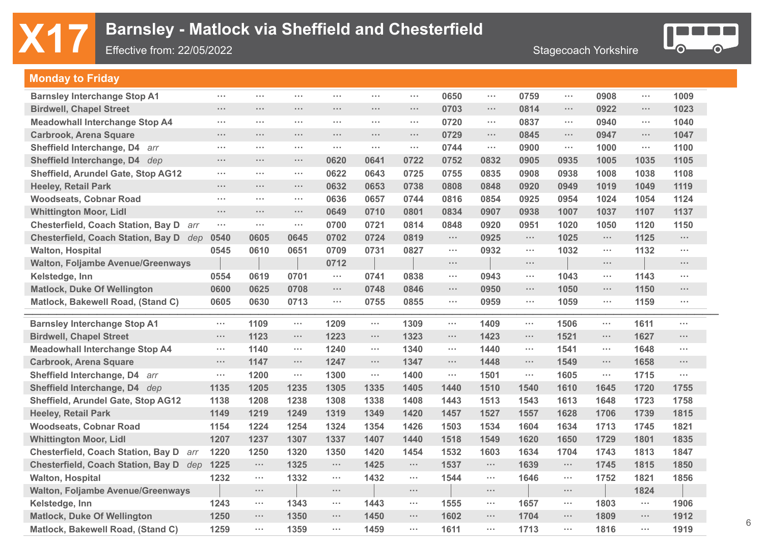## **X17** Barnsley - Matlock via Sheffield and Chesterfield<br>Effective from: 22/05/2022

Effective from: 22/05/2022



#### **Monday to Friday**

| <b>Barnsley Interchange Stop A1</b>       | $\sim 100$           | $\sim 100$           | $\sim$ $\sim$ $\sim$ | $\sim 100$    | $\sim$ $\sim$ $\sim$ | $\sim$     | 0650                 | $\sim$ 10 $\pm$      | 0759                 | $\sim$ $\sim$ $\sim$ | 0908       | $\sim$ $\sim$ $\sim$ | 1009           |
|-------------------------------------------|----------------------|----------------------|----------------------|---------------|----------------------|------------|----------------------|----------------------|----------------------|----------------------|------------|----------------------|----------------|
| <b>Birdwell, Chapel Street</b>            | $\sim$               | $\sim$ $\sim$ $\sim$ | $\sim 100$           | $\sim 100$    | $\sim$ $\sim$ $\sim$ | $\sim 100$ | 0703                 | $\sim 100$           | 0814                 | $\sim 100$           | 0922       | $\sim$               | 1023           |
| <b>Meadowhall Interchange Stop A4</b>     | $\sim$ $\sim$ $\sim$ | $\sim$               | $\sim$ $\sim$ $\sim$ | $\sim 100$    | $\sim$ $\sim$ $\sim$ | $\sim$     | 0720                 | $\sim 100$           | 0837                 | $\sim 100$           | 0940       | $\sim$               | 1040           |
| <b>Carbrook, Arena Square</b>             | $\sim$               | $\sim 100$           | $\sim$ $\sim$ $\sim$ | $\sim 100$    | $\sim$ $\sim$ $\sim$ | $\sim 100$ | 0729                 | $\sim 100$           | 0845                 | $\sim$ $\sim$ $\sim$ | 0947       | $\cdots$             | 1047           |
| Sheffield Interchange, D4<br>arr          | $\sim$               | $\sim$ $\sim$        | $\sim$ $\sim$        | $\sim 100$    | $\sim$               | $\sim$     | 0744                 | $\sim$ $\sim$        | 0900                 | $\sim$               | 1000       | $\cdots$             | 1100           |
| Sheffield Interchange, D4 dep             | $\sim$               | $\sim 100$           | $\sim$ $\sim$ $\sim$ | 0620          | 0641                 | 0722       | 0752                 | 0832                 | 0905                 | 0935                 | 1005       | 1035                 | 1105           |
| <b>Sheffield, Arundel Gate, Stop AG12</b> | $\sim 100$           | $\sim$               | $\sim$ $\sim$ $\sim$ | 0622          | 0643                 | 0725       | 0755                 | 0835                 | 0908                 | 0938                 | 1008       | 1038                 | 1108           |
| <b>Heeley, Retail Park</b>                | $\sim 100$           | $\sim 100$           | $\sim$ $\sim$ $\sim$ | 0632          | 0653                 | 0738       | 0808                 | 0848                 | 0920                 | 0949                 | 1019       | 1049                 | 1119           |
| <b>Woodseats, Cobnar Road</b>             | $\sim$               | $\sim$               | $\sim$ $\sim$        | 0636          | 0657                 | 0744       | 0816                 | 0854                 | 0925                 | 0954                 | 1024       | 1054                 | 1124           |
| <b>Whittington Moor, Lidl</b>             | $\sim$               | $\sim$ $\sim$ $\sim$ | $\sim$ $\sim$ $\sim$ | 0649          | 0710                 | 0801       | 0834                 | 0907                 | 0938                 | 1007                 | 1037       | 1107                 | 1137           |
| Chesterfield, Coach Station, Bay D arr    | $\sim$               | $\sim$               | $\sim$ $\sim$        | 0700          | 0721                 | 0814       | 0848                 | 0920                 | 0951                 | 1020                 | 1050       | 1120                 | 1150           |
| Chesterfield, Coach Station, Bay D dep    | 0540                 | 0605                 | 0645                 | 0702          | 0724                 | 0819       | $\sim$ $\sim$        | 0925                 | $\cdots$             | 1025                 | $\sim 100$ | 1125                 | $\sim 100$     |
| <b>Walton, Hospital</b>                   | 0545                 | 0610                 | 0651                 | 0709          | 0731                 | 0827       | $\sim$ $\sim$ $\sim$ | 0932                 | $\sim$               | 1032                 | $\sim 10$  | 1132                 | $\sim 100$     |
| <b>Walton, Foljambe Avenue/Greenways</b>  |                      |                      |                      | 0712          |                      |            | $\sim$ $\sim$ $\sim$ |                      | $\sim$ $\sim$ $\sim$ |                      | $\sim 100$ |                      | $\sim 100$     |
| Kelstedge, Inn                            | 0554                 | 0619                 | 0701                 | $\sim$ $\sim$ | 0741                 | 0838       | $\sim$ $\sim$ $\sim$ | 0943                 | $\sim$ $\sim$        | 1043                 | $\sim 10$  | 1143                 | $\sim 100$     |
| <b>Matlock, Duke Of Wellington</b>        | 0600                 | 0625                 | 0708                 | $\sim 100$    | 0748                 | 0846       | $\sim$ $\sim$        | 0950                 | $\cdots$             | 1050                 | $\sim$     | 1150                 | $\sim 100$     |
| Matlock, Bakewell Road, (Stand C)         | 0605                 | 0630                 | 0713                 | $\sim$        | 0755                 | 0855       | $\sim$               | 0959                 | $\sim$               | 1059                 | $\sim$     | 1159                 | $\sim 100$     |
|                                           |                      |                      |                      |               |                      |            |                      |                      |                      |                      |            |                      |                |
| <b>Barnsley Interchange Stop A1</b>       | $\sim$               | 1109                 | $\sim$               | 1209          | $\sim$               | 1309       | $\sim$               | 1409                 | $\sim$               | 1506                 | $\sim$     | 1611                 | $\sim$         |
| <b>Birdwell, Chapel Street</b>            | $\sim$               | 1123                 | $\cdots$             | 1223          | $\sim$ $\sim$ $\sim$ | 1323       | $\sim 100$           | 1423                 | $\sim 100$           | 1521                 | $\sim$     | 1627                 | $\sim 10^{-1}$ |
| <b>Meadowhall Interchange Stop A4</b>     | $\sim$ $\sim$ $\sim$ | 1140                 | $\sim$               | 1240          | $\sim$               | 1340       | $\sim$               | 1440                 | $\sim$               | 1541                 | $\sim$     | 1648                 | $\sim 100$     |
| <b>Carbrook, Arena Square</b>             | $\sim$ $\sim$ $\sim$ | 1147                 | $\sim$ $\sim$ $\sim$ | 1247          | $\sim$ $\sim$ $\sim$ | 1347       | $\sim$               | 1448                 | $\sim$               | 1549                 | $\sim$     | 1658                 | $\sim 100$     |
| Sheffield Interchange, D4 arr             | $\sim$               | 1200                 | $\sim$               | 1300          | $\sim$               | 1400       | $\sim$               | 1501                 | $\sim 100$           | 1605                 | $\sim 100$ | 1715                 | $\sim$         |
| Sheffield Interchange, D4 dep             | 1135                 | 1205                 | 1235                 | 1305          | 1335                 | 1405       | 1440                 | 1510                 | 1540                 | 1610                 | 1645       | 1720                 | 1755           |
| Sheffield, Arundel Gate, Stop AG12        | 1138                 | 1208                 | 1238                 | 1308          | 1338                 | 1408       | 1443                 | 1513                 | 1543                 | 1613                 | 1648       | 1723                 | 1758           |
| <b>Heeley, Retail Park</b>                | 1149                 | 1219                 | 1249                 | 1319          | 1349                 | 1420       | 1457                 | 1527                 | 1557                 | 1628                 | 1706       | 1739                 | 1815           |
| <b>Woodseats, Cobnar Road</b>             | 1154                 | 1224                 | 1254                 | 1324          | 1354                 | 1426       | 1503                 | 1534                 | 1604                 | 1634                 | 1713       | 1745                 | 1821           |
| <b>Whittington Moor, Lidl</b>             | 1207                 | 1237                 | 1307                 | 1337          | 1407                 | 1440       | 1518                 | 1549                 | 1620                 | 1650                 | 1729       | 1801                 | 1835           |
| Chesterfield, Coach Station, Bay D arr    | 1220                 | 1250                 | 1320                 | 1350          | 1420                 | 1454       | 1532                 | 1603                 | 1634                 | 1704                 | 1743       | 1813                 | 1847           |
| Chesterfield, Coach Station, Bay D dep    | 1225                 | $\sim 100$           | 1325                 | $\sim 100$    | 1425                 | $\sim 100$ | 1537                 | $\sim 100$           | 1639                 | $\sim 100$           | 1745       | 1815                 | 1850           |
| <b>Walton, Hospital</b>                   | 1232                 | $\sim$               | 1332                 | $\sim 100$    | 1432                 | $\sim 100$ | 1544                 | $\sim$               | 1646                 | $\sim$               | 1752       | 1821                 | 1856           |
| <b>Walton, Foljambe Avenue/Greenways</b>  |                      | $\sim$               |                      | $\sim 100$    |                      | $\sim 100$ |                      | $\sim$               |                      | $\sim$ $\sim$ $\sim$ |            | 1824                 |                |
| Kelstedge, Inn                            | 1243                 | $\sim$               | 1343                 | $\sim 100$    | 1443                 | $\sim 100$ | 1555                 | $\sim$ $\sim$ $\sim$ | 1657                 | $\sim 100$           | 1803       | $\sim$               | 1906           |
| <b>Matlock, Duke Of Wellington</b>        | 1250                 | $\sim 100$           | 1350                 | $\sim 100$    | 1450                 | $\sim 100$ | 1602                 | $\sim 100$           | 1704                 | $\sim$ $\sim$ $\sim$ | 1809       | $\cdots$ .           | 1912           |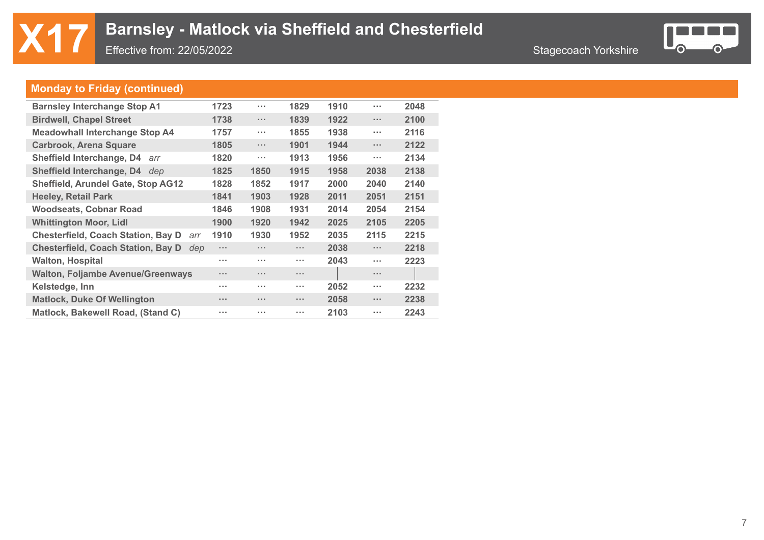

### **Monday to Friday (continued)**

| <b>Barnsley Interchange Stop A1</b>              | 1723                 | $\cdots$             | 1829          | 1910 | $\sim$ $\sim$ $\sim$ | 2048 |
|--------------------------------------------------|----------------------|----------------------|---------------|------|----------------------|------|
| <b>Birdwell, Chapel Street</b>                   | 1738                 | $\cdots$             | 1839          | 1922 | $\sim$ $\sim$ $\sim$ | 2100 |
| <b>Meadowhall Interchange Stop A4</b>            | 1757                 | $\sim$ $\sim$ $\sim$ | 1855          | 1938 | $\sim$ $\sim$ $\sim$ | 2116 |
| <b>Carbrook, Arena Square</b>                    | 1805                 | $\sim$ $\sim$ $\sim$ | 1901          | 1944 | $\sim 100$           | 2122 |
| Sheffield Interchange, D4<br>arr                 | 1820                 | $\cdots$             | 1913          | 1956 | $\sim 100$           | 2134 |
| <b>Sheffield Interchange, D4</b><br>dep          | 1825                 | 1850                 | 1915          | 1958 | 2038                 | 2138 |
| <b>Sheffield, Arundel Gate, Stop AG12</b>        | 1828                 | 1852                 | 1917          | 2000 | 2040                 | 2140 |
| <b>Heeley, Retail Park</b>                       | 1841                 | 1903                 | 1928          | 2011 | 2051                 | 2151 |
| <b>Woodseats, Cobnar Road</b>                    | 1846                 | 1908                 | 1931          | 2014 | 2054                 | 2154 |
| <b>Whittington Moor, Lidl</b>                    | 1900                 | 1920                 | 1942          | 2025 | 2105                 | 2205 |
| <b>Chesterfield, Coach Station, Bay D</b><br>arr | 1910                 | 1930                 | 1952          | 2035 | 2115                 | 2215 |
| <b>Chesterfield, Coach Station, Bay D</b><br>dep | $\sim$ $\sim$ $\sim$ | $\cdots$             | $\sim 100$    | 2038 | $\sim 100$           | 2218 |
| <b>Walton, Hospital</b>                          | $\sim$ $\sim$ $\sim$ | $\sim$ $\sim$        | $\sim 100$    | 2043 | $\sim 100$           | 2223 |
| <b>Walton, Foljambe Avenue/Greenways</b>         | $\cdots$             | $\cdots$             | $\sim 100$    |      | $\sim 100$           |      |
| Kelstedge, Inn                                   | $\sim$ $\sim$ $\sim$ | $\sim$ $\sim$        | $\sim 100$    | 2052 | $\sim 100$           | 2232 |
| <b>Matlock, Duke Of Wellington</b>               | $\cdots$             | $\cdots$             | $\sim 100$    | 2058 | $\sim 100$           | 2238 |
| Matlock, Bakewell Road, (Stand C)                | $\sim$ $\sim$ $\sim$ | $\cdots$             | <b>A 10 M</b> | 2103 | $\sim$ $\sim$ $\sim$ | 2243 |
|                                                  |                      |                      |               |      |                      |      |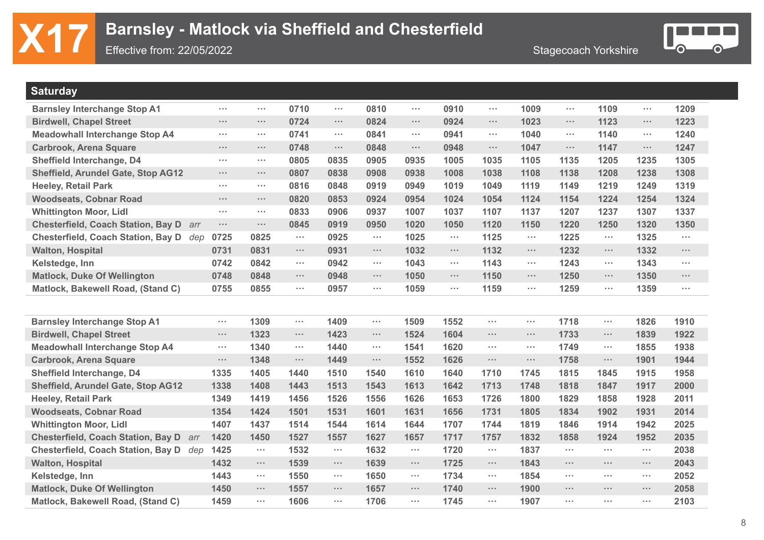

| <b>Saturday</b>                                  |                      |                      |               |                      |                      |                      |                      |            |                      |            |                      |                      |                      |
|--------------------------------------------------|----------------------|----------------------|---------------|----------------------|----------------------|----------------------|----------------------|------------|----------------------|------------|----------------------|----------------------|----------------------|
| <b>Barnsley Interchange Stop A1</b>              | $\sim$               | $\sim$ $\sim$ $\sim$ | 0710          | $\sim$               | 0810                 | $\sim$ $\sim$ $\sim$ | 0910                 | $\sim 100$ | 1009                 | $\sim 100$ | 1109                 | $\sim 100$           | 1209                 |
| <b>Birdwell, Chapel Street</b>                   | $\sim$               | $\sim$ $\sim$ $\sim$ | 0724          | $\sim$               | 0824                 | $\sim$ $\sim$ $\sim$ | 0924                 | $\sim 100$ | 1023                 | $\sim 100$ | 1123                 | $\sim 100$           | 1223                 |
| <b>Meadowhall Interchange Stop A4</b>            | $\sim 100$           | $\sim 100$           | 0741          | $\sim$ $\sim$ $\sim$ | 0841                 | $\sim$ $\sim$ $\sim$ | 0941                 | $\sim 100$ | 1040                 | $\sim 100$ | 1140                 | $\sim 100$           | 1240                 |
| <b>Carbrook, Arena Square</b>                    | $\sim 10^{-1}$       | $\sim$ $\sim$ $\sim$ | 0748          | $\cdots$             | 0848                 | $\sim$ $\sim$ $\sim$ | 0948                 | $\sim$     | 1047                 | $\sim 100$ | 1147                 | $\sim 100$           | 1247                 |
| Sheffield Interchange, D4                        | $\sim$               | $\sim$ $\sim$ $\sim$ | 0805          | 0835                 | 0905                 | 0935                 | 1005                 | 1035       | 1105                 | 1135       | 1205                 | 1235                 | 1305                 |
| Sheffield, Arundel Gate, Stop AG12               | $\sim 100$           | $\sim 100$           | 0807          | 0838                 | 0908                 | 0938                 | 1008                 | 1038       | 1108                 | 1138       | 1208                 | 1238                 | 1308                 |
| <b>Heeley, Retail Park</b>                       | $\sim$               | $\sim$ $\sim$ $\sim$ | 0816          | 0848                 | 0919                 | 0949                 | 1019                 | 1049       | 1119                 | 1149       | 1219                 | 1249                 | 1319                 |
| <b>Woodseats, Cobnar Road</b>                    | $\sim 10^{-1}$       | $\sim 100$           | 0820          | 0853                 | 0924                 | 0954                 | 1024                 | 1054       | 1124                 | 1154       | 1224                 | 1254                 | 1324                 |
| <b>Whittington Moor, Lidl</b>                    | $\sim$               | $\sim$ $\sim$ $\sim$ | 0833          | 0906                 | 0937                 | 1007                 | 1037                 | 1107       | 1137                 | 1207       | 1237                 | 1307                 | 1337                 |
| <b>Chesterfield, Coach Station, Bay D</b><br>arr | $\sim$ $\sim$ $\sim$ | $\sim$ $\sim$ $\sim$ | 0845          | 0919                 | 0950                 | 1020                 | 1050                 | 1120       | 1150                 | 1220       | 1250                 | 1320                 | 1350                 |
| <b>Chesterfield, Coach Station, Bay D</b><br>dep | 0725                 | 0825                 | $\sim$ $\sim$ | 0925                 | $\sim 100$           | 1025                 | $\sim$ $\sim$ $\sim$ | 1125       | $\sim 100$           | 1225       | $\sim$               | 1325                 | $\sim$ $\sim$        |
| <b>Walton, Hospital</b>                          | 0731                 | 0831                 | $\sim 100$    | 0931                 | $\sim 100$           | 1032                 | $\sim 100$           | 1132       | $\sim 100$           | 1232       | $\sim$               | 1332                 | $\cdots$             |
| Kelstedge, Inn                                   | 0742                 | 0842                 | $\sim 100$    | 0942                 | $\sim 100$           | 1043                 | $\sim$ $\sim$ $\sim$ | 1143       | $\sim$ $\sim$ $\sim$ | 1243       | $\sim$               | 1343                 | $\sim$ $\sim$ $\sim$ |
| <b>Matlock, Duke Of Wellington</b>               | 0748                 | 0848                 | $\sim$        | 0948                 | $\sim 100$           | 1050                 | $\sim$ $\sim$ $\sim$ | 1150       | $\sim$ $\sim$ $\sim$ | 1250       | $\sim$               | 1350                 | $\sim$               |
| Matlock, Bakewell Road, (Stand C)                | 0755                 | 0855                 | $\sim$ $\sim$ | 0957                 | $\sim 100$           | 1059                 | $\sim$               | 1159       | $\sim$               | 1259       | $\sim$               | 1359                 | $\sim$ $\sim$ $\sim$ |
|                                                  |                      |                      |               |                      |                      |                      |                      |            |                      |            |                      |                      |                      |
| <b>Barnsley Interchange Stop A1</b>              | $\sim$ $\sim$        | 1309                 | $\sim 100$    | 1409                 | $\sim$               | 1509                 | 1552                 | $\sim 100$ | $\sim$ $\sim$ $\sim$ | 1718       | $\cdots$             | 1826                 | 1910                 |
| <b>Birdwell, Chapel Street</b>                   | $\sim 100$           | 1323                 | $\sim 100$    | 1423                 | $\sim 100$           | 1524                 | 1604                 | $\sim 100$ | $\sim$ $\sim$ $\sim$ | 1733       | $\sim$ $\sim$        | 1839                 | 1922                 |
| <b>Meadowhall Interchange Stop A4</b>            | $\sim 100$           | 1340                 | $\sim 100$    | 1440                 | $\sim$ $\sim$ $\sim$ | 1541                 | 1620                 | $\sim 100$ | $\sim$ $\sim$ $\sim$ | 1749       | $\sim$ $\sim$ $\sim$ | 1855                 | 1938                 |
| <b>Carbrook, Arena Square</b>                    | $\sim 100$           | 1348                 | $\sim 100$    | 1449                 | $\sim 100$           | 1552                 | 1626                 | $\sim 100$ | $\sim$ $\sim$ $\sim$ | 1758       | $\cdots$             | 1901                 | 1944                 |
| Sheffield Interchange, D4                        | 1335                 | 1405                 | 1440          | 1510                 | 1540                 | 1610                 | 1640                 | 1710       | 1745                 | 1815       | 1845                 | 1915                 | 1958                 |
| <b>Sheffield, Arundel Gate, Stop AG12</b>        | 1338                 | 1408                 | 1443          | 1513                 | 1543                 | 1613                 | 1642                 | 1713       | 1748                 | 1818       | 1847                 | 1917                 | 2000                 |
| <b>Heeley, Retail Park</b>                       | 1349                 | 1419                 | 1456          | 1526                 | 1556                 | 1626                 | 1653                 | 1726       | 1800                 | 1829       | 1858                 | 1928                 | 2011                 |
| <b>Woodseats, Cobnar Road</b>                    | 1354                 | 1424                 | 1501          | 1531                 | 1601                 | 1631                 | 1656                 | 1731       | 1805                 | 1834       | 1902                 | 1931                 | 2014                 |
| <b>Whittington Moor, Lidl</b>                    | 1407                 | 1437                 | 1514          | 1544                 | 1614                 | 1644                 | 1707                 | 1744       | 1819                 | 1846       | 1914                 | 1942                 | 2025                 |
| <b>Chesterfield, Coach Station, Bay D</b><br>arr | 1420                 | 1450                 | 1527          | 1557                 | 1627                 | 1657                 | 1717                 | 1757       | 1832                 | 1858       | 1924                 | 1952                 | 2035                 |
| Chesterfield, Coach Station, Bay D dep           | 1425                 | $\cdots$             | 1532          | $\cdots$             | 1632                 | $\sim$               | 1720                 | $\sim 100$ | 1837                 | $\sim$     | $\sim$ $\sim$ $\sim$ | $\sim$ $\sim$ $\sim$ | 2038                 |
| <b>Walton, Hospital</b>                          | 1432                 | $\sim$ $\sim$ $\sim$ | 1539          | $\sim$ $\sim$        | 1639                 | $\sim 100$           | 1725                 | $\sim 100$ | 1843                 | $\sim 100$ | $\cdots$             | $\sim 100$           | 2043                 |
| Kelstedge, Inn                                   | 1443                 | $\sim$               | 1550          | $\cdots$             | 1650                 | $\sim$               | 1734                 | $\sim 100$ | 1854                 | $\sim 100$ | $\sim$ $\sim$        | $\sim$ $\sim$ $\sim$ | 2052                 |
| <b>Matlock, Duke Of Wellington</b>               | 1450                 | $\sim$ $\sim$ $\sim$ | 1557          | $\sim$ $\sim$ $\sim$ | 1657                 | $\sim 100$           | 1740                 | $\sim 100$ | 1900                 | $\sim 100$ | $\cdots$             | $\sim 100$           | 2058                 |
| Matlock, Bakewell Road, (Stand C)                | 1459                 | $\sim$               | 1606          | $\cdots$             | 1706                 | $\sim$               | 1745                 | $\sim$     | 1907                 | e e c      | $\cdots$             | $\sim 100$           | 2103                 |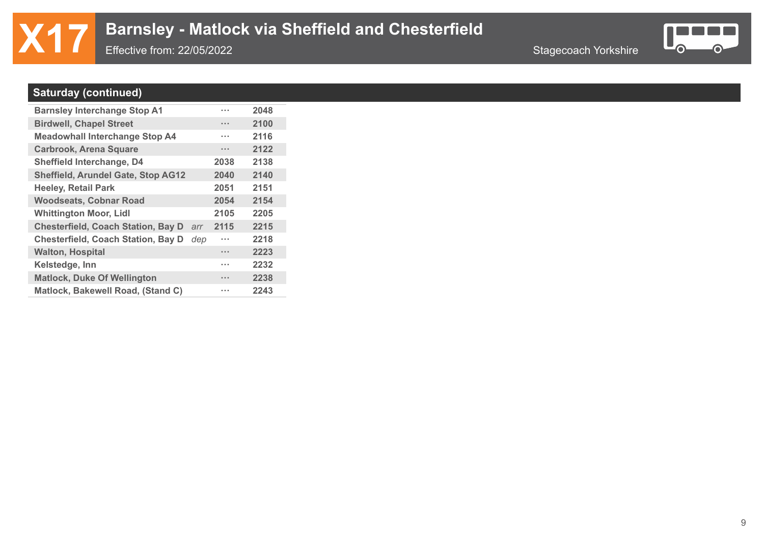# **X17** Barnsley - Matlock via Sheffield and Chesterfield<br>Effective from: 22/05/2022

Effective from: 22/05/2022



### **Saturday (continued)**

| 2100<br><b>Birdwell, Chapel Street</b><br>$\cdots$<br>2116<br><b>Meadowhall Interchange Stop A4</b><br>. |
|----------------------------------------------------------------------------------------------------------|
|                                                                                                          |
|                                                                                                          |
| 2122<br><b>Carbrook, Arena Square</b><br>$\cdots$                                                        |
| 2138<br>Sheffield Interchange, D4<br>2038                                                                |
| <b>Sheffield, Arundel Gate, Stop AG12</b><br>2140<br>2040                                                |
| 2051<br>2151<br><b>Heeley, Retail Park</b>                                                               |
| <b>Woodseats, Cobnar Road</b><br>2054<br>2154                                                            |
| 2105<br>2205<br><b>Whittington Moor, Lidl</b>                                                            |
| <b>Chesterfield, Coach Station, Bay D</b><br>2115<br>2215<br>arr                                         |
| <b>Chesterfield, Coach Station, Bay D</b><br>2218<br>dep<br>.                                            |
| <b>Walton, Hospital</b><br>2223<br>$\cdots$                                                              |
| 2232<br>Kelstedge, Inn<br>.                                                                              |
| <b>Matlock, Duke Of Wellington</b><br>2238<br>                                                           |
| Matlock, Bakewell Road, (Stand C)<br>2243<br>.                                                           |